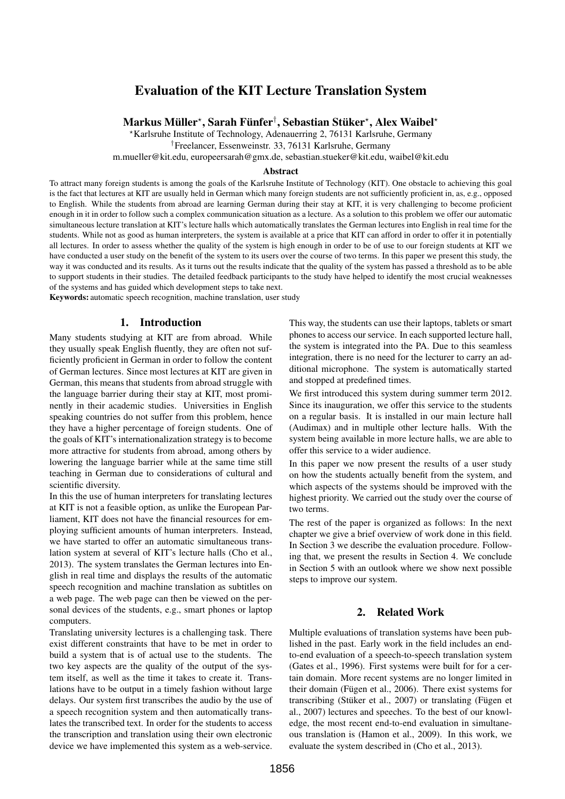# Evaluation of the KIT Lecture Translation System

# Markus Müller\*, Sarah Fünfer†, Sebastian Stüker\*, Alex Waibel\*

?Karlsruhe Institute of Technology, Adenauerring 2, 76131 Karlsruhe, Germany

†Freelancer, Essenweinstr. 33, 76131 Karlsruhe, Germany

m.mueller@kit.edu, europeersarah@gmx.de, sebastian.stueker@kit.edu, waibel@kit.edu

#### Abstract

To attract many foreign students is among the goals of the Karlsruhe Institute of Technology (KIT). One obstacle to achieving this goal is the fact that lectures at KIT are usually held in German which many foreign students are not sufficiently proficient in, as, e.g., opposed to English. While the students from abroad are learning German during their stay at KIT, it is very challenging to become proficient enough in it in order to follow such a complex communication situation as a lecture. As a solution to this problem we offer our automatic simultaneous lecture translation at KIT's lecture halls which automatically translates the German lectures into English in real time for the students. While not as good as human interpreters, the system is available at a price that KIT can afford in order to offer it in potentially all lectures. In order to assess whether the quality of the system is high enough in order to be of use to our foreign students at KIT we have conducted a user study on the benefit of the system to its users over the course of two terms. In this paper we present this study, the way it was conducted and its results. As it turns out the results indicate that the quality of the system has passed a threshold as to be able to support students in their studies. The detailed feedback participants to the study have helped to identify the most crucial weaknesses of the systems and has guided which development steps to take next.

Keywords: automatic speech recognition, machine translation, user study

## 1. Introduction

Many students studying at KIT are from abroad. While they usually speak English fluently, they are often not sufficiently proficient in German in order to follow the content of German lectures. Since most lectures at KIT are given in German, this means that students from abroad struggle with the language barrier during their stay at KIT, most prominently in their academic studies. Universities in English speaking countries do not suffer from this problem, hence they have a higher percentage of foreign students. One of the goals of KIT's internationalization strategy is to become more attractive for students from abroad, among others by lowering the language barrier while at the same time still teaching in German due to considerations of cultural and scientific diversity.

In this the use of human interpreters for translating lectures at KIT is not a feasible option, as unlike the European Parliament, KIT does not have the financial resources for employing sufficient amounts of human interpreters. Instead, we have started to offer an automatic simultaneous translation system at several of KIT's lecture halls (Cho et al., 2013). The system translates the German lectures into English in real time and displays the results of the automatic speech recognition and machine translation as subtitles on a web page. The web page can then be viewed on the personal devices of the students, e.g., smart phones or laptop computers.

Translating university lectures is a challenging task. There exist different constraints that have to be met in order to build a system that is of actual use to the students. The two key aspects are the quality of the output of the system itself, as well as the time it takes to create it. Translations have to be output in a timely fashion without large delays. Our system first transcribes the audio by the use of a speech recognition system and then automatically translates the transcribed text. In order for the students to access the transcription and translation using their own electronic device we have implemented this system as a web-service.

This way, the students can use their laptops, tablets or smart phones to access our service. In each supported lecture hall, the system is integrated into the PA. Due to this seamless integration, there is no need for the lecturer to carry an additional microphone. The system is automatically started and stopped at predefined times.

We first introduced this system during summer term 2012. Since its inauguration, we offer this service to the students on a regular basis. It is installed in our main lecture hall (Audimax) and in multiple other lecture halls. With the system being available in more lecture halls, we are able to offer this service to a wider audience.

In this paper we now present the results of a user study on how the students actually benefit from the system, and which aspects of the systems should be improved with the highest priority. We carried out the study over the course of two terms.

The rest of the paper is organized as follows: In the next chapter we give a brief overview of work done in this field. In Section 3 we describe the evaluation procedure. Following that, we present the results in Section 4. We conclude in Section 5 with an outlook where we show next possible steps to improve our system.

## 2. Related Work

Multiple evaluations of translation systems have been published in the past. Early work in the field includes an endto-end evaluation of a speech-to-speech translation system (Gates et al., 1996). First systems were built for for a certain domain. More recent systems are no longer limited in their domain (Fügen et al., 2006). There exist systems for transcribing (Stüker et al., 2007) or translating (Fügen et al., 2007) lectures and speeches. To the best of our knowledge, the most recent end-to-end evaluation in simultaneous translation is (Hamon et al., 2009). In this work, we evaluate the system described in (Cho et al., 2013).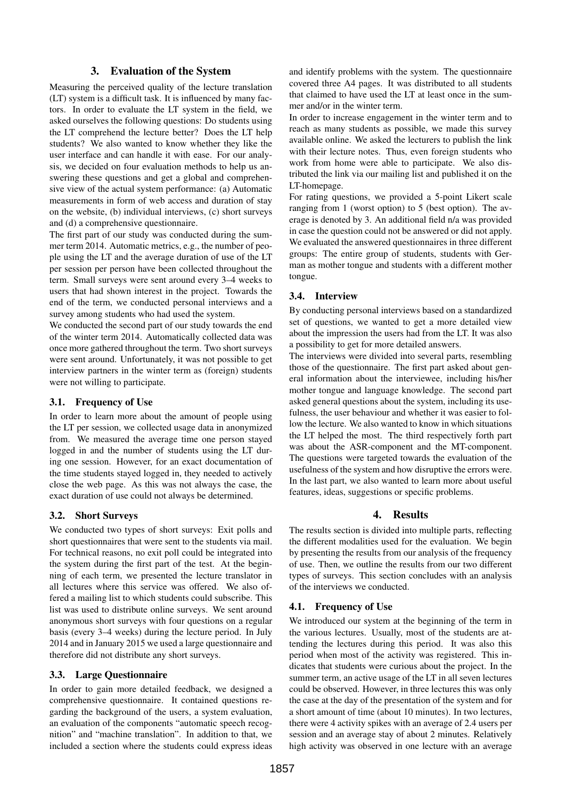# 3. Evaluation of the System

Measuring the perceived quality of the lecture translation (LT) system is a difficult task. It is influenced by many factors. In order to evaluate the LT system in the field, we asked ourselves the following questions: Do students using the LT comprehend the lecture better? Does the LT help students? We also wanted to know whether they like the user interface and can handle it with ease. For our analysis, we decided on four evaluation methods to help us answering these questions and get a global and comprehensive view of the actual system performance: (a) Automatic measurements in form of web access and duration of stay on the website, (b) individual interviews, (c) short surveys and (d) a comprehensive questionnaire.

The first part of our study was conducted during the summer term 2014. Automatic metrics, e.g., the number of people using the LT and the average duration of use of the LT per session per person have been collected throughout the term. Small surveys were sent around every 3–4 weeks to users that had shown interest in the project. Towards the end of the term, we conducted personal interviews and a survey among students who had used the system.

We conducted the second part of our study towards the end of the winter term 2014. Automatically collected data was once more gathered throughout the term. Two short surveys were sent around. Unfortunately, it was not possible to get interview partners in the winter term as (foreign) students were not willing to participate.

## 3.1. Frequency of Use

In order to learn more about the amount of people using the LT per session, we collected usage data in anonymized from. We measured the average time one person stayed logged in and the number of students using the LT during one session. However, for an exact documentation of the time students stayed logged in, they needed to actively close the web page. As this was not always the case, the exact duration of use could not always be determined.

## 3.2. Short Surveys

We conducted two types of short surveys: Exit polls and short questionnaires that were sent to the students via mail. For technical reasons, no exit poll could be integrated into the system during the first part of the test. At the beginning of each term, we presented the lecture translator in all lectures where this service was offered. We also offered a mailing list to which students could subscribe. This list was used to distribute online surveys. We sent around anonymous short surveys with four questions on a regular basis (every 3–4 weeks) during the lecture period. In July 2014 and in January 2015 we used a large questionnaire and therefore did not distribute any short surveys.

# 3.3. Large Questionnaire

In order to gain more detailed feedback, we designed a comprehensive questionnaire. It contained questions regarding the background of the users, a system evaluation, an evaluation of the components "automatic speech recognition" and "machine translation". In addition to that, we included a section where the students could express ideas

and identify problems with the system. The questionnaire covered three A4 pages. It was distributed to all students that claimed to have used the LT at least once in the summer and/or in the winter term.

In order to increase engagement in the winter term and to reach as many students as possible, we made this survey available online. We asked the lecturers to publish the link with their lecture notes. Thus, even foreign students who work from home were able to participate. We also distributed the link via our mailing list and published it on the LT-homepage.

For rating questions, we provided a 5-point Likert scale ranging from 1 (worst option) to 5 (best option). The average is denoted by 3. An additional field n/a was provided in case the question could not be answered or did not apply. We evaluated the answered questionnaires in three different groups: The entire group of students, students with German as mother tongue and students with a different mother tongue.

# 3.4. Interview

By conducting personal interviews based on a standardized set of questions, we wanted to get a more detailed view about the impression the users had from the LT. It was also a possibility to get for more detailed answers.

The interviews were divided into several parts, resembling those of the questionnaire. The first part asked about general information about the interviewee, including his/her mother tongue and language knowledge. The second part asked general questions about the system, including its usefulness, the user behaviour and whether it was easier to follow the lecture. We also wanted to know in which situations the LT helped the most. The third respectively forth part was about the ASR-component and the MT-component. The questions were targeted towards the evaluation of the usefulness of the system and how disruptive the errors were. In the last part, we also wanted to learn more about useful features, ideas, suggestions or specific problems.

# 4. Results

The results section is divided into multiple parts, reflecting the different modalities used for the evaluation. We begin by presenting the results from our analysis of the frequency of use. Then, we outline the results from our two different types of surveys. This section concludes with an analysis of the interviews we conducted.

# 4.1. Frequency of Use

We introduced our system at the beginning of the term in the various lectures. Usually, most of the students are attending the lectures during this period. It was also this period when most of the activity was registered. This indicates that students were curious about the project. In the summer term, an active usage of the LT in all seven lectures could be observed. However, in three lectures this was only the case at the day of the presentation of the system and for a short amount of time (about 10 minutes). In two lectures, there were 4 activity spikes with an average of 2.4 users per session and an average stay of about 2 minutes. Relatively high activity was observed in one lecture with an average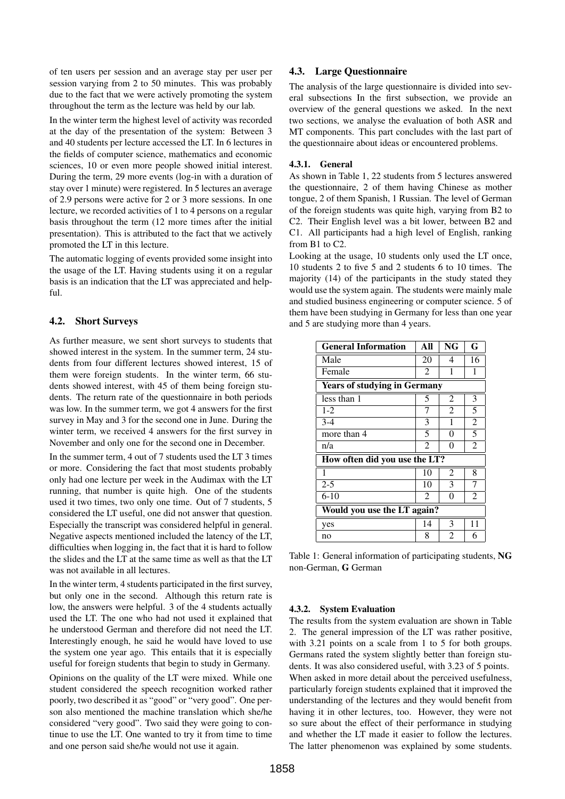of ten users per session and an average stay per user per session varying from 2 to 50 minutes. This was probably due to the fact that we were actively promoting the system throughout the term as the lecture was held by our lab.

In the winter term the highest level of activity was recorded at the day of the presentation of the system: Between 3 and 40 students per lecture accessed the LT. In 6 lectures in the fields of computer science, mathematics and economic sciences, 10 or even more people showed initial interest. During the term, 29 more events (log-in with a duration of stay over 1 minute) were registered. In 5 lectures an average of 2.9 persons were active for 2 or 3 more sessions. In one lecture, we recorded activities of 1 to 4 persons on a regular basis throughout the term (12 more times after the initial presentation). This is attributed to the fact that we actively promoted the LT in this lecture.

The automatic logging of events provided some insight into the usage of the LT. Having students using it on a regular basis is an indication that the LT was appreciated and helpful.

## 4.2. Short Surveys

As further measure, we sent short surveys to students that showed interest in the system. In the summer term, 24 students from four different lectures showed interest, 15 of them were foreign students. In the winter term, 66 students showed interest, with 45 of them being foreign students. The return rate of the questionnaire in both periods was low. In the summer term, we got 4 answers for the first survey in May and 3 for the second one in June. During the winter term, we received 4 answers for the first survey in November and only one for the second one in December.

In the summer term, 4 out of 7 students used the LT 3 times or more. Considering the fact that most students probably only had one lecture per week in the Audimax with the LT running, that number is quite high. One of the students used it two times, two only one time. Out of 7 students, 5 considered the LT useful, one did not answer that question. Especially the transcript was considered helpful in general. Negative aspects mentioned included the latency of the LT, difficulties when logging in, the fact that it is hard to follow the slides and the LT at the same time as well as that the LT was not available in all lectures.

In the winter term, 4 students participated in the first survey, but only one in the second. Although this return rate is low, the answers were helpful. 3 of the 4 students actually used the LT. The one who had not used it explained that he understood German and therefore did not need the LT. Interestingly enough, he said he would have loved to use the system one year ago. This entails that it is especially useful for foreign students that begin to study in Germany.

Opinions on the quality of the LT were mixed. While one student considered the speech recognition worked rather poorly, two described it as "good" or "very good". One person also mentioned the machine translation which she/he considered "very good". Two said they were going to continue to use the LT. One wanted to try it from time to time and one person said she/he would not use it again.

## 4.3. Large Questionnaire

The analysis of the large questionnaire is divided into several subsections In the first subsection, we provide an overview of the general questions we asked. In the next two sections, we analyse the evaluation of both ASR and MT components. This part concludes with the last part of the questionnaire about ideas or encountered problems.

## 4.3.1. General

As shown in Table 1, 22 students from 5 lectures answered the questionnaire, 2 of them having Chinese as mother tongue, 2 of them Spanish, 1 Russian. The level of German of the foreign students was quite high, varying from B2 to C2. Their English level was a bit lower, between B2 and C1. All participants had a high level of English, ranking from B1 to C2.

Looking at the usage, 10 students only used the LT once, 10 students 2 to five 5 and 2 students 6 to 10 times. The majority (14) of the participants in the study stated they would use the system again. The students were mainly male and studied business engineering or computer science. 5 of them have been studying in Germany for less than one year and 5 are studying more than 4 years.

| <b>General Information</b>          | All            | <b>NG</b>      | G              |
|-------------------------------------|----------------|----------------|----------------|
| Male                                | 20             | 4              | 16             |
| Female                              | $\overline{2}$ | 1              | 1              |
| <b>Years of studying in Germany</b> |                |                |                |
| less than 1                         | 5              | $\overline{2}$ | 3              |
| $1-2$                               | 7              | $\overline{2}$ | 5              |
| $3 - 4$                             | 3              | 1              | $\overline{2}$ |
| more than 4                         | 5              | 0              | 5              |
| n/a                                 | 2              | 0              | $\overline{c}$ |
| How often did you use the LT?       |                |                |                |
| 1                                   | 10             | 2              | 8              |
| $2 - 5$                             | 10             | 3              | 7              |
| $6-10$                              | $\mathfrak{D}$ | 0              | $\overline{2}$ |
| Would you use the LT again?         |                |                |                |
| yes                                 | 14             | 3              | 11             |
| no                                  | 8              | $\mathfrak{D}$ | 6              |

Table 1: General information of participating students, NG non-German, G German

#### 4.3.2. System Evaluation

The results from the system evaluation are shown in Table 2. The general impression of the LT was rather positive, with 3.21 points on a scale from 1 to 5 for both groups. Germans rated the system slightly better than foreign students. It was also considered useful, with 3.23 of 5 points. When asked in more detail about the perceived usefulness, particularly foreign students explained that it improved the understanding of the lectures and they would benefit from having it in other lectures, too. However, they were not so sure about the effect of their performance in studying and whether the LT made it easier to follow the lectures. The latter phenomenon was explained by some students.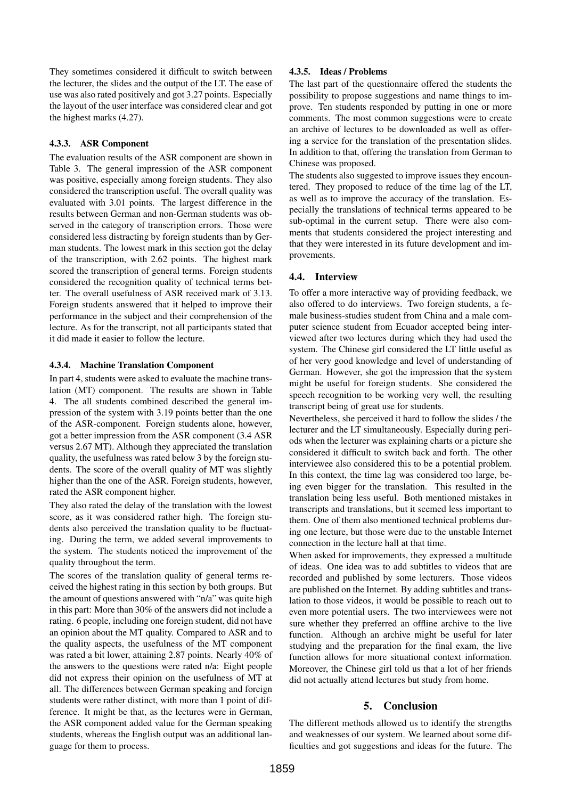They sometimes considered it difficult to switch between the lecturer, the slides and the output of the LT. The ease of use was also rated positively and got 3.27 points. Especially the layout of the user interface was considered clear and got the highest marks (4.27).

#### 4.3.3. ASR Component

The evaluation results of the ASR component are shown in Table 3. The general impression of the ASR component was positive, especially among foreign students. They also considered the transcription useful. The overall quality was evaluated with 3.01 points. The largest difference in the results between German and non-German students was observed in the category of transcription errors. Those were considered less distracting by foreign students than by German students. The lowest mark in this section got the delay of the transcription, with 2.62 points. The highest mark scored the transcription of general terms. Foreign students considered the recognition quality of technical terms better. The overall usefulness of ASR received mark of 3.13. Foreign students answered that it helped to improve their performance in the subject and their comprehension of the lecture. As for the transcript, not all participants stated that it did made it easier to follow the lecture.

#### 4.3.4. Machine Translation Component

In part 4, students were asked to evaluate the machine translation (MT) component. The results are shown in Table 4. The all students combined described the general impression of the system with 3.19 points better than the one of the ASR-component. Foreign students alone, however, got a better impression from the ASR component (3.4 ASR versus 2.67 MT). Although they appreciated the translation quality, the usefulness was rated below 3 by the foreign students. The score of the overall quality of MT was slightly higher than the one of the ASR. Foreign students, however, rated the ASR component higher.

They also rated the delay of the translation with the lowest score, as it was considered rather high. The foreign students also perceived the translation quality to be fluctuating. During the term, we added several improvements to the system. The students noticed the improvement of the quality throughout the term.

The scores of the translation quality of general terms received the highest rating in this section by both groups. But the amount of questions answered with "n/a" was quite high in this part: More than 30% of the answers did not include a rating. 6 people, including one foreign student, did not have an opinion about the MT quality. Compared to ASR and to the quality aspects, the usefulness of the MT component was rated a bit lower, attaining 2.87 points. Nearly 40% of the answers to the questions were rated n/a: Eight people did not express their opinion on the usefulness of MT at all. The differences between German speaking and foreign students were rather distinct, with more than 1 point of difference. It might be that, as the lectures were in German, the ASR component added value for the German speaking students, whereas the English output was an additional language for them to process.

#### 4.3.5. Ideas / Problems

The last part of the questionnaire offered the students the possibility to propose suggestions and name things to improve. Ten students responded by putting in one or more comments. The most common suggestions were to create an archive of lectures to be downloaded as well as offering a service for the translation of the presentation slides. In addition to that, offering the translation from German to Chinese was proposed.

The students also suggested to improve issues they encountered. They proposed to reduce of the time lag of the LT, as well as to improve the accuracy of the translation. Especially the translations of technical terms appeared to be sub-optimal in the current setup. There were also comments that students considered the project interesting and that they were interested in its future development and improvements.

#### 4.4. Interview

To offer a more interactive way of providing feedback, we also offered to do interviews. Two foreign students, a female business-studies student from China and a male computer science student from Ecuador accepted being interviewed after two lectures during which they had used the system. The Chinese girl considered the LT little useful as of her very good knowledge and level of understanding of German. However, she got the impression that the system might be useful for foreign students. She considered the speech recognition to be working very well, the resulting transcript being of great use for students.

Nevertheless, she perceived it hard to follow the slides / the lecturer and the LT simultaneously. Especially during periods when the lecturer was explaining charts or a picture she considered it difficult to switch back and forth. The other interviewee also considered this to be a potential problem. In this context, the time lag was considered too large, being even bigger for the translation. This resulted in the translation being less useful. Both mentioned mistakes in transcripts and translations, but it seemed less important to them. One of them also mentioned technical problems during one lecture, but those were due to the unstable Internet connection in the lecture hall at that time.

When asked for improvements, they expressed a multitude of ideas. One idea was to add subtitles to videos that are recorded and published by some lecturers. Those videos are published on the Internet. By adding subtitles and translation to those videos, it would be possible to reach out to even more potential users. The two interviewees were not sure whether they preferred an offline archive to the live function. Although an archive might be useful for later studying and the preparation for the final exam, the live function allows for more situational context information. Moreover, the Chinese girl told us that a lot of her friends did not actually attend lectures but study from home.

## 5. Conclusion

The different methods allowed us to identify the strengths and weaknesses of our system. We learned about some difficulties and got suggestions and ideas for the future. The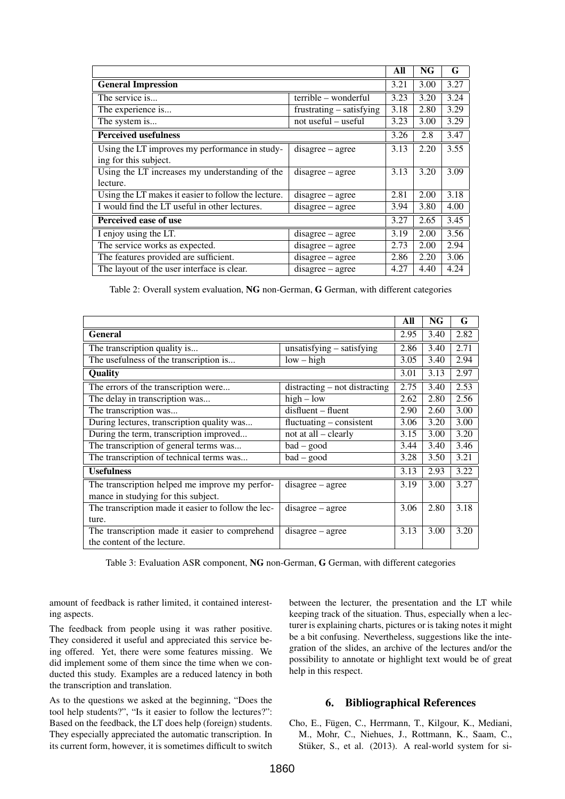|                                                     |                          | All  | <b>NG</b> | G    |
|-----------------------------------------------------|--------------------------|------|-----------|------|
| <b>General Impression</b>                           |                          | 3.21 | 3.00      | 3.27 |
| The service is                                      | terrible – wonderful     | 3.23 | 3.20      | 3.24 |
| The experience is                                   | frustrating – satisfying | 3.18 | 2.80      | 3.29 |
| The system is                                       | not useful – useful      | 3.23 | 3.00      | 3.29 |
| <b>Perceived usefulness</b>                         |                          | 3.26 | 2.8       | 3.47 |
| Using the LT improves my performance in study-      | $disagree - agree$       | 3.13 | 2.20      | 3.55 |
| ing for this subject.                               |                          |      |           |      |
| Using the LT increases my understanding of the      | disagree – agree         | 3.13 | 3.20      | 3.09 |
| lecture.                                            |                          |      |           |      |
| Using the LT makes it easier to follow the lecture. | disagree – agree         | 2.81 | 2.00      | 3.18 |
| I would find the LT useful in other lectures.       | $disagree - agree$       | 3.94 | 3.80      | 4.00 |
| Perceived ease of use                               |                          | 3.27 | 2.65      | 3.45 |
| I enjoy using the LT.                               | $disagree - agree$       | 3.19 | 2.00      | 3.56 |
| The service works as expected.                      | $disagree - agree$       | 2.73 | 2.00      | 2.94 |
| The features provided are sufficient.               | $disagree - agree$       | 2.86 | 2.20      | 3.06 |
| The layout of the user interface is clear.          | $disagree - agree$       | 4.27 | 4.40      | 4.24 |

Table 2: Overall system evaluation, NG non-German, G German, with different categories

|                                                     |                               | All  | NG   | G    |
|-----------------------------------------------------|-------------------------------|------|------|------|
| <b>General</b>                                      |                               | 2.95 | 3.40 | 2.82 |
| The transcription quality is                        | unsatisfying $-$ satisfying   | 2.86 | 3.40 | 2.71 |
| The usefulness of the transcription is              | $low - high$                  | 3.05 | 3.40 | 2.94 |
| Quality                                             |                               | 3.01 | 3.13 | 2.97 |
| The errors of the transcription were                | distracting – not distracting | 2.75 | 3.40 | 2.53 |
| The delay in transcription was                      | $high - low$                  | 2.62 | 2.80 | 2.56 |
| The transcription was                               | disfluent - fluent            | 2.90 | 2.60 | 3.00 |
| During lectures, transcription quality was          | $fluctuating - consistent$    | 3.06 | 3.20 | 3.00 |
| During the term, transcription improved             | not at all – clearly          | 3.15 | 3.00 | 3.20 |
| The transcription of general terms was              | $bad - good$                  | 3.44 | 3.40 | 3.46 |
| The transcription of technical terms was            | $bad - good$                  | 3.28 | 3.50 | 3.21 |
| <b>Usefulness</b>                                   |                               | 3.13 | 2.93 | 3.22 |
| The transcription helped me improve my perfor-      | disagree – agree              | 3.19 | 3.00 | 3.27 |
| mance in studying for this subject.                 |                               |      |      |      |
| The transcription made it easier to follow the lec- | disagree – agree              | 3.06 | 2.80 | 3.18 |
| ture.                                               |                               |      |      |      |
| The transcription made it easier to comprehend      | disagree – agree              | 3.13 | 3.00 | 3.20 |
| the content of the lecture.                         |                               |      |      |      |

Table 3: Evaluation ASR component, NG non-German, G German, with different categories

amount of feedback is rather limited, it contained interesting aspects.

The feedback from people using it was rather positive. They considered it useful and appreciated this service being offered. Yet, there were some features missing. We did implement some of them since the time when we conducted this study. Examples are a reduced latency in both the transcription and translation.

As to the questions we asked at the beginning, "Does the tool help students?", "Is it easier to follow the lectures?": Based on the feedback, the LT does help (foreign) students. They especially appreciated the automatic transcription. In its current form, however, it is sometimes difficult to switch between the lecturer, the presentation and the LT while keeping track of the situation. Thus, especially when a lecturer is explaining charts, pictures or is taking notes it might be a bit confusing. Nevertheless, suggestions like the integration of the slides, an archive of the lectures and/or the possibility to annotate or highlight text would be of great help in this respect.

## 6. Bibliographical References

Cho, E., Fügen, C., Herrmann, T., Kilgour, K., Mediani, M., Mohr, C., Niehues, J., Rottmann, K., Saam, C., Stüker, S., et al. (2013). A real-world system for si-